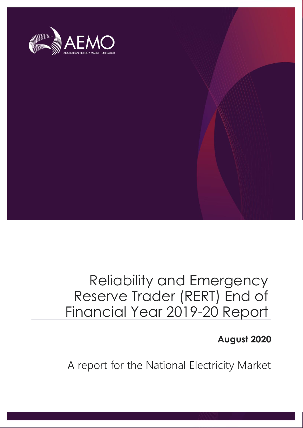

# Reliability and Emergency Reserve Trader (RERT) End of Financial Year 2019-20 Report

**August 2020**

A report for the National Electricity Market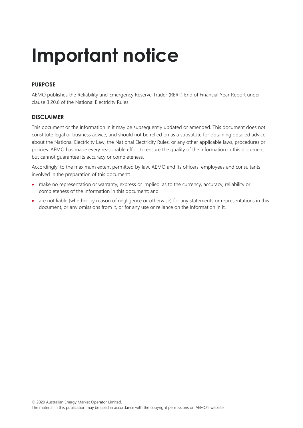# **Important notice**

#### **PURPOSE**

AEMO publishes the Reliability and Emergency Reserve Trader (RERT) End of Financial Year Report under clause 3.20.6 of the National Electricity Rules.

#### **DISCLAIMER**

This document or the information in it may be subsequently updated or amended. This document does not constitute legal or business advice, and should not be relied on as a substitute for obtaining detailed advice about the National Electricity Law, the National Electricity Rules, or any other applicable laws, procedures or policies. AEMO has made every reasonable effort to ensure the quality of the information in this document but cannot guarantee its accuracy or completeness.

Accordingly, to the maximum extent permitted by law, AEMO and its officers, employees and consultants involved in the preparation of this document:

- make no representation or warranty, express or implied, as to the currency, accuracy, reliability or completeness of the information in this document; and
- are not liable (whether by reason of negligence or otherwise) for any statements or representations in this document, or any omissions from it, or for any use or reliance on the information in it.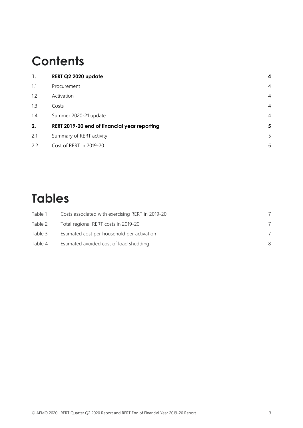# **Contents**

| 1.  | RERT Q2 2020 update                          | 4              |
|-----|----------------------------------------------|----------------|
| 1,1 | Procurement                                  | 4              |
| 1.2 | Activation                                   | $\overline{4}$ |
| 1.3 | Costs                                        | $\overline{4}$ |
| 1.4 | Summer 2020-21 update                        | $\overline{4}$ |
| 2.  | RERT 2019-20 end of financial year reporting | 5              |
| 2.1 | Summary of RERT activity                     | 5              |
| 2.2 | Cost of RERT in 2019-20                      | 6              |

# **Tables**

| Table 1 | Costs associated with exercising RERT in 2019-20 |   |
|---------|--------------------------------------------------|---|
| Table 2 | Total regional RERT costs in 2019-20             |   |
| Table 3 | Estimated cost per household per activation      |   |
| Table 4 | Estimated avoided cost of load shedding          | 8 |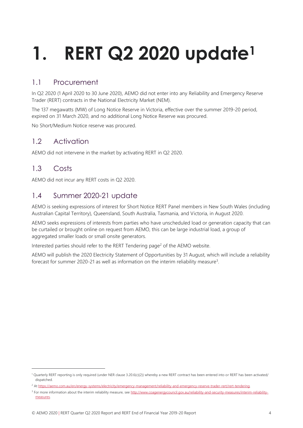# <span id="page-3-0"></span>**1. RERT Q2 2020 update<sup>1</sup>**

# <span id="page-3-1"></span>1.1 Procurement

In Q2 2020 (1 April 2020 to 30 June 2020), AEMO did not enter into any Reliability and Emergency Reserve Trader (RERT) contracts in the National Electricity Market (NEM).

The 137 megawatts (MW) of Long Notice Reserve in Victoria, effective over the summer 2019-20 period, expired on 31 March 2020, and no additional Long Notice Reserve was procured.

No Short/Medium Notice reserve was procured.

## <span id="page-3-2"></span>1.2 Activation

AEMO did not intervene in the market by activating RERT in Q2 2020.

## <span id="page-3-3"></span>1.3 Costs

AEMO did not incur any RERT costs in Q2 2020.

## <span id="page-3-4"></span>1.4 Summer 2020-21 update

AEMO is seeking expressions of interest for Short Notice RERT Panel members in New South Wales (including Australian Capital Territory), Queensland, South Australia, Tasmania, and Victoria, in August 2020.

AEMO seeks expressions of interests from parties who have unscheduled load or generation capacity that can be curtailed or brought online on request from AEMO, this can be large industrial load, a group of aggregated smaller loads or small onsite generators.

Interested parties should refer to the RERT Tendering page<sup>2</sup> of the AEMO website.

AEMO will publish the 2020 Electricity Statement of Opportunities by 31 August, which will include a reliability forecast for summer 2020-21 as well as information on the interim reliability measure<sup>3</sup>.

<sup>1</sup> Quarterly RERT reporting is only required (under NER clause 3.20.6(c)(2)) whereby a new RERT contract has been entered into or RERT has been activated/ dispatched.

<sup>&</sup>lt;sup>2</sup> A[t https://aemo.com.au/en/energy-systems/electricity/emergency-management/reliability-and-emergency-reserve-trader-rert/rert-tendering.](https://aemo.com.au/en/energy-systems/electricity/emergency-management/reliability-and-emergency-reserve-trader-rert/rert-tendering)

<sup>&</sup>lt;sup>3</sup> For more information about the interim reliability measure, se[e http://www.coagenergycouncil.gov.au/reliability-and-security-measures/interim-reliability](http://www.coagenergycouncil.gov.au/reliability-and-security-measures/interim-reliability-measures)[measures.](http://www.coagenergycouncil.gov.au/reliability-and-security-measures/interim-reliability-measures)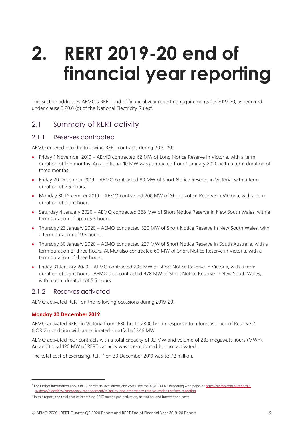# <span id="page-4-0"></span>**2. RERT 2019-20 end of financial year reporting**

This section addresses AEMO's RERT end of financial year reporting requirements for 2019-20, as required under clause 3.20.6 (g) of the National Electricity Rules<sup>4</sup>.

### <span id="page-4-1"></span>2.1 Summary of RERT activity

#### 2.1.1 Reserves contracted

AEMO entered into the following RERT contracts during 2019-20:

- Friday 1 November 2019 AEMO contracted 62 MW of Long Notice Reserve in Victoria, with a term duration of five months. An additional 10 MW was contracted from 1 January 2020, with a term duration of three months.
- Friday 20 December 2019 AEMO contracted 90 MW of Short Notice Reserve in Victoria, with a term duration of 2.5 hours.
- Monday 30 December 2019 AEMO contracted 200 MW of Short Notice Reserve in Victoria, with a term duration of eight hours.
- Saturday 4 January 2020 AEMO contracted 368 MW of Short Notice Reserve in New South Wales, with a term duration of up to 5.5 hours.
- Thursday 23 January 2020 AEMO contracted 520 MW of Short Notice Reserve in New South Wales, with a term duration of 9.5 hours.
- Thursday 30 January 2020 AEMO contracted 227 MW of Short Notice Reserve in South Australia, with a term duration of three hours. AEMO also contracted 60 MW of Short Notice Reserve in Victoria, with a term duration of three hours.
- Friday 31 January 2020 AEMO contracted 235 MW of Short Notice Reserve in Victoria, with a term duration of eight hours. AEMO also contracted 478 MW of Short Notice Reserve in New South Wales, with a term duration of 5.5 hours.

#### 2.1.2 Reserves activated

AEMO activated RERT on the following occasions during 2019-20.

#### **Monday 30 December 2019**

AEMO activated RERT in Victoria from 1630 hrs to 2300 hrs, in response to a forecast Lack of Reserve 2 (LOR 2) condition with an estimated shortfall of 346 MW.

AEMO activated four contracts with a total capacity of 92 MW and volume of 283 megawatt hours (MWh). An additional 120 MW of RERT capacity was pre-activated but not activated.

The total cost of exercising RERT<sup>5</sup> on 30 December 2019 was \$3.72 million.

<sup>4</sup> For further information about RERT contracts, activations and costs, see the AEMO RERT Reporting web page, a[t https://aemo.com.au/energy](https://aemo.com.au/energy-systems/electricity/emergency-management/reliability-and-emergency-reserve-trader-rert/rert-reporting)[systems/electricity/emergency-management/reliability-and-emergency-reserve-trader-rert/rert-reporting.](https://aemo.com.au/energy-systems/electricity/emergency-management/reliability-and-emergency-reserve-trader-rert/rert-reporting)

<sup>&</sup>lt;sup>5</sup> In this report, the total cost of exercising RERT means pre-activation, activation, and intervention costs.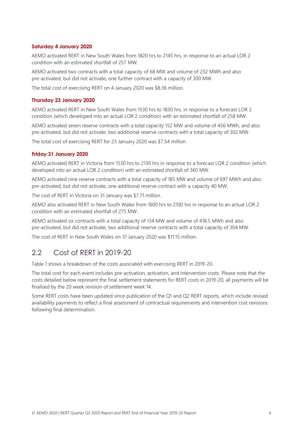#### **Saturday 4 January 2020**

AEMO activated RERT in New South Wales from 1820 hrs to 2145 hrs, in response to an actual LOR 2 condition with an estimated shortfall of 257 MW.

AEMO activated two contracts with a total capacity of 68 MW and volume of 232 MWh and also pre-activated, but did not activate, one further contract with a capacity of 300 MW.

The total cost of exercising RERT on 4 January 2020 was \$8.36 million.

#### **Thursday 23 January 2020**

AEMO activated RERT in New South Wales from 1530 hrs to 1830 hrs, in response to a forecast LOR 2 condition (which developed into an actual LOR 2 condition) with an estimated shortfall of 258 MW.

AEMO activated seven reserve contracts with a total capacity 152 MW and volume of 456 MWh, and also pre-activated, but did not activate, two additional reserve contracts with a total capacity of 302 MW.

The total cost of exercising RERT for 23 January 2020 was \$7.54 million.

#### **Friday 31 January 2020**

AEMO activated RERT in Victoria from 1530 hrs to 2130 hrs in response to a forecast LOR 2 condition (which developed into an actual LOR 2 condition) with an estimated shortfall of 360 MW.

AEMO activated nine reserve contracts with a total capacity of 185 MW and volume of 697 MWh and also pre-activated, but did not activate, one additional reserve contract with a capacity 40 MW.

The cost of RERT in Victoria on 31 January was \$7.71 million.

AEMO also activated RERT in New South Wales from 1600 hrs to 2100 hrs in response to an actual LOR 2 condition with an estimated shortfall of 275 MW.

AEMO activated six contracts with a total capacity of 134 MW and volume of 418.5 MWh and also pre-activated, but did not activate, two additional reserve contracts with a total capacity of 304 MW.

<span id="page-5-0"></span>The cost of RERT in New South Wales on 31 January 2020 was \$11.15 million.

#### 2.2 Cost of RERT in 2019-20

Table 1 shows a breakdown of the costs associated with exercising RERT in 2019-20.

The total cost for each event includes pre-activation, activation, and intervention costs. Please note that the costs detailed below represent the final settlement statements for RERT costs in 2019-20, all payments will be finalised by the 20 week revision of settlement week 14.

Some RERT costs have been updated since publication of the Q1 and Q2 RERT reports, which include revised availability payments to reflect a final assessment of contractual requirements and intervention cost revisions following final determination.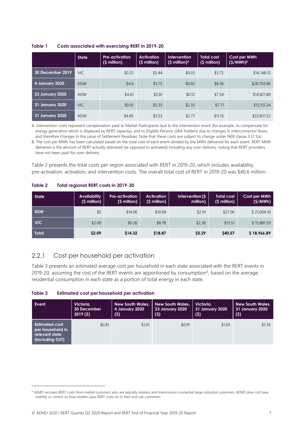<span id="page-6-0"></span>

|                        | <b>State</b> | <b>Pre-activation</b><br>$(S$ million) | <b>Activation</b><br>$(S$ million) | <b>Intervention</b><br>$(S$ million) <sup>A</sup> | <b>Total cost</b><br>(\$ million) | Cost per MWh<br>$(S/MWh)^8$ |
|------------------------|--------------|----------------------------------------|------------------------------------|---------------------------------------------------|-----------------------------------|-----------------------------|
| 30 December 2019       | VIC.         | \$0.25                                 | \$3.44                             | \$0.03                                            | \$3.72                            | \$14,148.12                 |
| 4 January 2020         | <b>NSW</b>   | \$4.6                                  | \$3.75                             | \$0.02                                            | \$8.36                            | \$28,703.86                 |
| <b>23 January 2020</b> | <b>NSW</b>   | \$4.61                                 | \$2.81                             | \$0.12                                            | \$7.54                            | \$14,821.80                 |
| 31 January 2020        | <b>VIC</b>   | \$0.01                                 | \$5.35                             | \$2.35                                            | \$7.71                            | \$13,112.24                 |
| 31 January 2020        | <b>NSW</b>   | \$4.85                                 | \$3.53                             | \$2.77                                            | \$11.15                           | \$22,831.52                 |

A. Intervention costs represent compensation paid to Market Participants due to the intervention event (for example, to compensate for energy generation which is displaced by RERT capacity), and to Eligible Persons (SRA holders) due to changes in interconnector flows, and therefore changes in the value of Settlement Residues. Note that these costs are subject to change under NER clause 3.12.1(a).

B. The cost per MWh has been calculated based on the total cost of each event divided by the MWh delivered for each event. RERT MWh delivered is the amount of RERT actually delivered (as opposed to activated) including any over-delivery, noting that RERT providers have not been paid for over-delivery.

Table 2 presents the total costs per region associated with RERT in 2019-20, which includes availability, pre-activation, activation, and intervention costs. The overall total cost of RERT in 2019-20 was \$40.6 million.

<span id="page-6-1"></span>

| Table 2 | <b>Total regional RERT costs in 2019-20</b> |
|---------|---------------------------------------------|
|---------|---------------------------------------------|

| <b>State</b> | <b>Availability</b><br>$(S$ million) | <b>Pre-activation</b><br>$(S$ million) | <b>Activation</b><br>$(S$ million) | Intervention (\$<br>million) | <b>Total cost</b><br>$(S$ million) | Cost per MWh<br>(S/MWh) |
|--------------|--------------------------------------|----------------------------------------|------------------------------------|------------------------------|------------------------------------|-------------------------|
| <b>NSW</b>   | \$0                                  | \$14.06                                | \$10.09                            | \$2.91                       | \$27.06                            | \$21,004.10             |
| <b>VIC</b>   | \$2.09                               | \$0.26                                 | \$8.78                             | \$2.38                       | \$13.51                            | \$15,881.59             |
| Total        | \$2.09                               | \$14.32                                | \$18.87                            | \$5.29                       | \$40.57                            | \$18,966.89             |

### 2.2.1 Cost per household per activation

Table 3 presents an estimated average cost per household in each state associated with the RERT events in 2019-20, assuming the cost of the RERT events are apportioned by consumption<sup>6</sup>, based on the average residential consumption in each state as a portion of total energy in each state.

<span id="page-6-2"></span>**Table 3 Estimated cost per household per activation**

| Event                                                                          | Victoria,          | <b>New South Wales,</b> | <b>New South Wales,</b> | Victoria.       | <b>New South Wales,</b> |
|--------------------------------------------------------------------------------|--------------------|-------------------------|-------------------------|-----------------|-------------------------|
|                                                                                | <b>30 December</b> | 4 January 2020          | <b>23 January 2020</b>  | 31 January 2020 | 31 January 2020         |
|                                                                                | 2019(5)            | (5)                     | (\$)                    | (5)             | (\$)                    |
| <b>Estimated cost</b><br>per household in<br>relevant state<br>(including GST) | \$0.81             | \$1.01                  | \$0.91                  | \$1.65          | \$1.35                  |

<sup>6</sup> AEMO recovers RERT costs from *market customers* who are typically retailers and transmission connected large industrial customers. AEMO does not have visibility or control on how retailers pass RERT costs on to their end use customers.